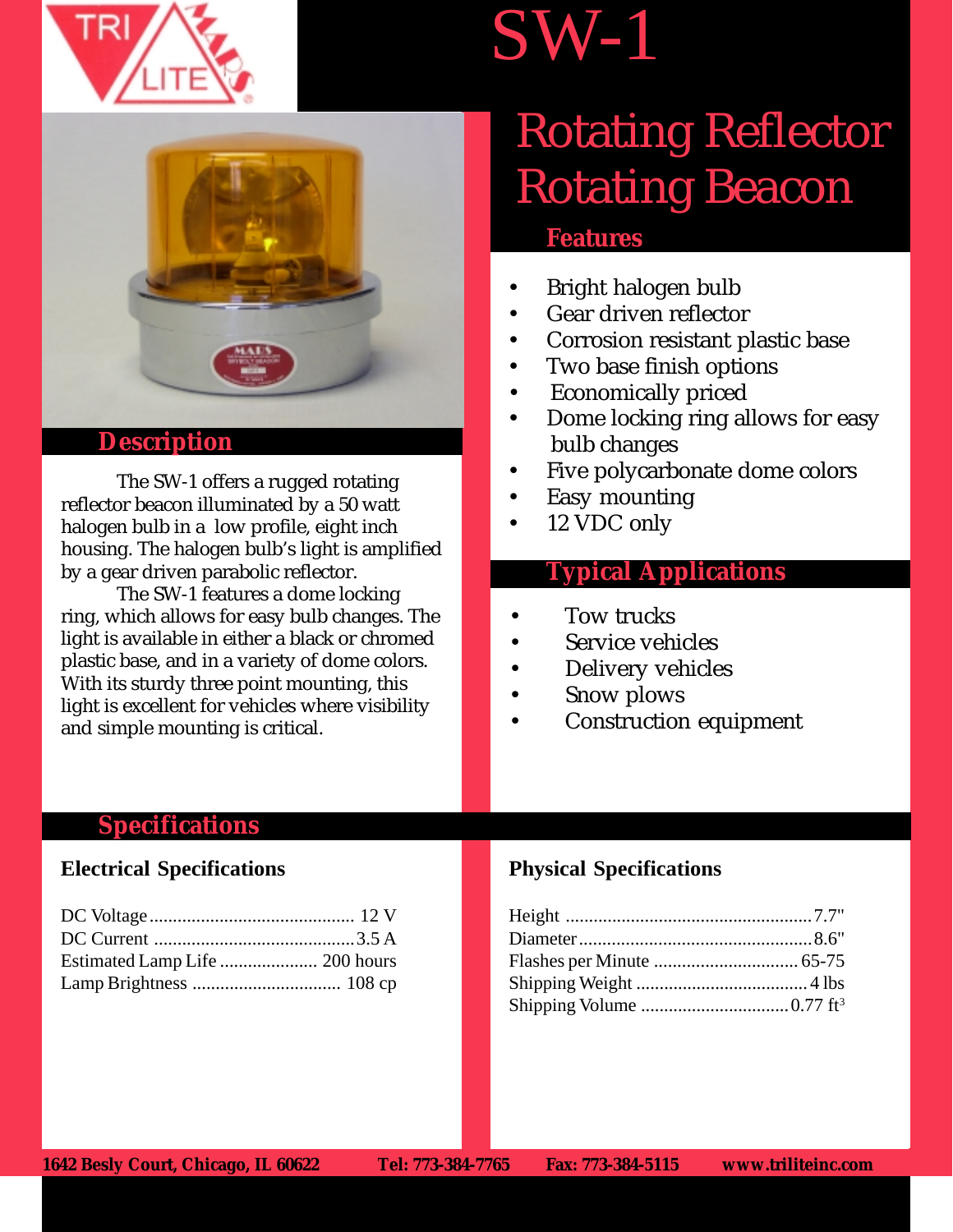





#### **Description**

The SW-1 offers a rugged rotating reflector beacon illuminated by a 50 watt halogen bulb in a low profile, eight inch housing. The halogen bulb's light is amplified by a gear driven parabolic reflector.

The SW-1 features a dome locking ring, which allows for easy bulb changes. The light is available in either a black or chromed plastic base, and in a variety of dome colors. With its sturdy three point mounting, this light is excellent for vehicles where visibility and simple mounting is critical.

## Rotating Reflector Rotating Beacon

#### **Features**

1234 1235 1234 1235 1234 1235 1234 1235 1234 1235 1234 1235 1234 1235 1236 1237 1237 1237 1238 1239 1239 1239

- Bright halogen bulb
- Gear driven reflector
- Corrosion resistant plastic base
- Two base finish options
- Economically priced
- Dome locking ring allows for easy bulb changes
- Five polycarbonate dome colors
- Easy mounting
- 12 VDC only

#### **Typical Applications**

- Tow trucks
- Service vehicles
- Delivery vehicles
- Snow plows
- Construction equipment

#### **Specifications**

#### **Electrical Specifications**

#### **Physical Specifications**